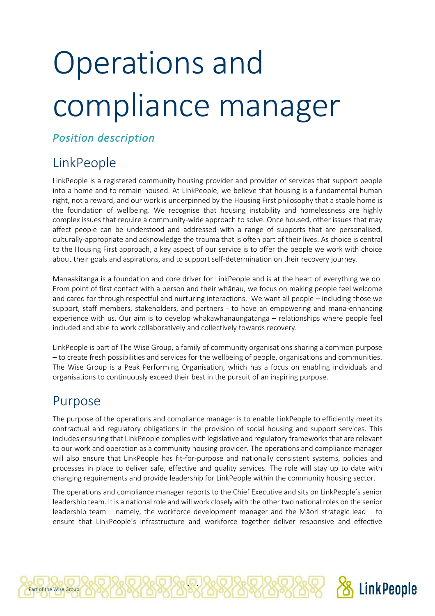# Operations and compliance manager

#### *Position description*

## LinkPeople

LinkPeople is a registered community housing provider and provider of services that support people into a home and to remain housed. At LinkPeople, we believe that housing is a fundamental human right, not a reward, and our work is underpinned by the Housing First philosophy that a stable home is the foundation of wellbeing. We recognise that housing instability and homelessness are highly complex issues that require a community-wide approach to solve. Once housed, other issues that may affect people can be understood and addressed with a range of supports that are personalised, culturally-appropriate and acknowledge the trauma that is often part of their lives. As choice is central to the Housing First approach, a key aspect of our service is to offer the people we work with choice about their goals and aspirations, and to support self-determination on their recovery journey.

Manaakitanga is a foundation and core driver for LinkPeople and is at the heart of everything we do. From point of first contact with a person and their whānau, we focus on making people feel welcome and cared for through respectful and nurturing interactions. We want all people – including those we support, staff members, stakeholders, and partners - to have an empowering and mana-enhancing experience with us. Our aim is to develop whakawhanaungatanga – relationships where people feel included and able to work collaboratively and collectively towards recovery.

LinkPeople is part of The Wise Group, a family of community organisations sharing a common purpose – to create fresh possibilities and services for the wellbeing of people, organisations and communities. The Wise Group is a Peak Performing Organisation, which has a focus on enabling individuals and organisations to continuously exceed their best in the pursuit of an inspiring purpose.

#### Purpose

Part of the Wise Group.

The purpose of the operations and compliance manager is to enable LinkPeople to efficiently meet its contractual and regulatory obligations in the provision of social housing and support services. This includes ensuring that LinkPeople complies with legislative and regulatory frameworks that are relevant to our work and operation as a community housing provider. The operations and compliance manager will also ensure that LinkPeople has fit-for-purpose and nationally consistent systems, policies and processes in place to deliver safe, effective and quality services. The role will stay up to date with changing requirements and provide leadership for LinkPeople within the community housing sector.

The operations and compliance manager reports to the Chief Executive and sits on LinkPeople's senior leadership team. It is a national role and will work closely with the other two national roles on the senior leadership team – namely, the workforce development manager and the Māori strategic lead – to ensure that LinkPeople's infrastructure and workforce together deliver responsive and effective

 $-1 -$ 

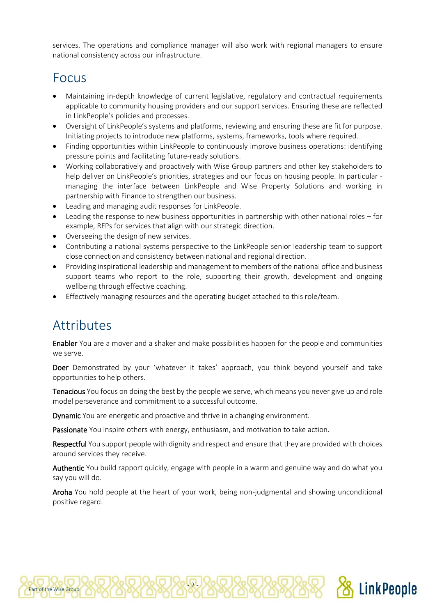services. The operations and compliance manager will also work with regional managers to ensure national consistency across our infrastructure.

### Focus

- Maintaining in-depth knowledge of current legislative, regulatory and contractual requirements applicable to community housing providers and our support services. Ensuring these are reflected in LinkPeople's policies and processes.
- Oversight of LinkPeople's systems and platforms, reviewing and ensuring these are fit for purpose. Initiating projects to introduce new platforms, systems, frameworks, tools where required.
- Finding opportunities within LinkPeople to continuously improve business operations: identifying pressure points and facilitating future-ready solutions.
- Working collaboratively and proactively with Wise Group partners and other key stakeholders to help deliver on LinkPeople's priorities, strategies and our focus on housing people. In particular managing the interface between LinkPeople and Wise Property Solutions and working in partnership with Finance to strengthen our business.
- Leading and managing audit responses for LinkPeople.
- Leading the response to new business opportunities in partnership with other national roles for example, RFPs for services that align with our strategic direction.
- Overseeing the design of new services.
- Contributing a national systems perspective to the LinkPeople senior leadership team to support close connection and consistency between national and regional direction.
- Providing inspirational leadership and management to members of the national office and business support teams who report to the role, supporting their growth, development and ongoing wellbeing through effective coaching.
- Effectively managing resources and the operating budget attached to this role/team.

#### Attributes

Part of the Wise Group.

Enabler You are a mover and a shaker and make possibilities happen for the people and communities we serve.

Doer Demonstrated by your 'whatever it takes' approach, you think beyond yourself and take opportunities to help others.

Tenacious You focus on doing the best by the people we serve, which means you never give up and role model perseverance and commitment to a successful outcome.

Dynamic You are energetic and proactive and thrive in a changing environment.

Passionate You inspire others with energy, enthusiasm, and motivation to take action.

- 2 -

Respectful You support people with dignity and respect and ensure that they are provided with choices around services they receive.

Authentic You build rapport quickly, engage with people in a warm and genuine way and do what you say you will do.

Aroha You hold people at the heart of your work, being non-judgmental and showing unconditional positive regard.